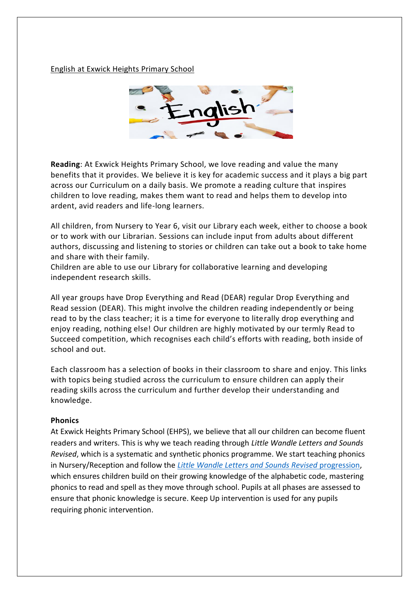English at Exwick Heights Primary School



**Reading**: At Exwick Heights Primary School, we love reading and value the many benefits that it provides. We believe it is key for academic success and it plays a big part across our Curriculum on a daily basis. We promote a reading culture that inspires children to love reading, makes them want to read and helps them to develop into ardent, avid readers and life-long learners.

All children, from Nursery to Year 6, visit our Library each week, either to choose a book or to work with our Librarian. Sessions can include input from adults about different authors, discussing and listening to stories or children can take out a book to take home and share with their family.

Children are able to use our Library for collaborative learning and developing independent research skills.

All year groups have Drop Everything and Read (DEAR) regular Drop Everything and Read session (DEAR). This might involve the children reading independently or being read to by the class teacher; it is a time for everyone to literally drop everything and enjoy reading, nothing else! Our children are highly motivated by our termly Read to Succeed competition, which recognises each child's efforts with reading, both inside of school and out.

Each classroom has a selection of books in their classroom to share and enjoy. This links with topics being studied across the curriculum to ensure children can apply their reading skills across the curriculum and further develop their understanding and knowledge.

### **Phonics**

At Exwick Heights Primary School (EHPS), we believe that all our children can become fluent readers and writers. This is why we teach reading through *Little Wandle Letters and Sounds Revised*, which is a systematic and synthetic phonics programme. We start teaching phonics in Nursery/Reception and follow the *[Little Wandle Letters and Sounds Revised](https://www.littlewandlelettersandsounds.org.uk/wp-content/uploads/2021/06/Programme-Overview_Reception-and-Year-1.pdf)* progression, which ensures children build on their growing knowledge of the alphabetic code, mastering phonics to read and spell as they move through school. Pupils at all phases are assessed to ensure that phonic knowledge is secure. Keep Up intervention is used for any pupils requiring phonic intervention.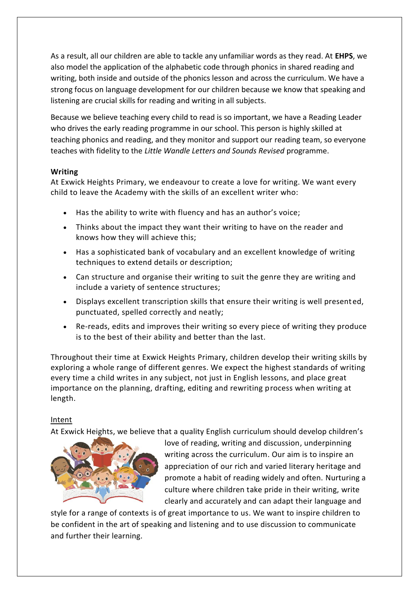As a result, all our children are able to tackle any unfamiliar words as they read. At **EHPS**, we also model the application of the alphabetic code through phonics in shared reading and writing, both inside and outside of the phonics lesson and across the curriculum. We have a strong focus on language development for our children because we know that speaking and listening are crucial skills for reading and writing in all subjects.

Because we believe teaching every child to read is so important, we have a Reading Leader who drives the early reading programme in our school. This person is highly skilled at teaching phonics and reading, and they monitor and support our reading team, so everyone teaches with fidelity to the *Little Wandle Letters and Sounds Revised* programme.

# **Writing**

At Exwick Heights Primary, we endeavour to create a love for writing. We want every child to leave the Academy with the skills of an excellent writer who:

- Has the ability to write with fluency and has an author's voice;
- Thinks about the impact they want their writing to have on the reader and knows how they will achieve this;
- Has a sophisticated bank of vocabulary and an excellent knowledge of writing techniques to extend details or description;
- Can structure and organise their writing to suit the genre they are writing and include a variety of sentence structures;
- Displays excellent transcription skills that ensure their writing is well presented, punctuated, spelled correctly and neatly;
- Re-reads, edits and improves their writing so every piece of writing they produce is to the best of their ability and better than the last.

Throughout their time at Exwick Heights Primary, children develop their writing skills by exploring a whole range of different genres. We expect the highest standards of writing every time a child writes in any subject, not just in English lessons, and place great importance on the planning, drafting, editing and rewriting process when writing at length.

# Intent

At Exwick Heights, we believe that a quality English curriculum should develop children's



love of reading, writing and discussion, underpinning writing across the curriculum. Our aim is to inspire an appreciation of our rich and varied literary heritage and promote a habit of reading widely and often. Nurturing a culture where children take pride in their writing, write clearly and accurately and can adapt their language and

style for a range of contexts is of great importance to us. We want to inspire children to be confident in the art of speaking and listening and to use discussion to communicate and further their learning.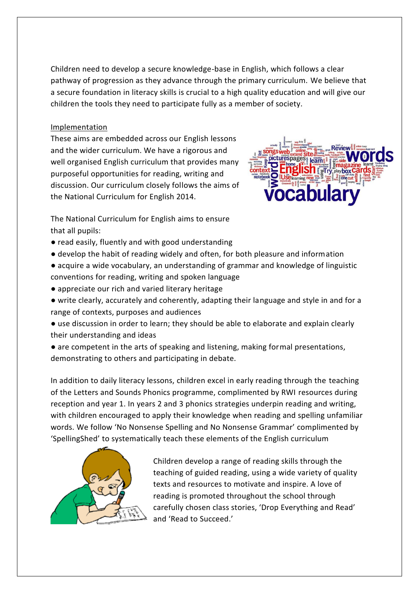Children need to develop a secure knowledge-base in English, which follows a clear pathway of progression as they advance through the primary curriculum. We believe that a secure foundation in literacy skills is crucial to a high quality education and will give our children the tools they need to participate fully as a member of society.

# Implementation

These aims are embedded across our English lessons and the wider curriculum. We have a rigorous and well organised English curriculum that provides many purposeful opportunities for reading, writing and discussion. Our curriculum closely follows the aims of the National Curriculum for English 2014.



The National Curriculum for English aims to ensure that all pupils:

- read easily, fluently and with good understanding
- develop the habit of reading widely and often, for both pleasure and information
- acquire a wide vocabulary, an understanding of grammar and knowledge of linguistic conventions for reading, writing and spoken language
- appreciate our rich and varied literary heritage
- write clearly, accurately and coherently, adapting their language and style in and for a range of contexts, purposes and audiences
- use discussion in order to learn; they should be able to elaborate and explain clearly their understanding and ideas
- are competent in the arts of speaking and listening, making formal presentations, demonstrating to others and participating in debate.

In addition to daily literacy lessons, children excel in early reading through the teaching of the Letters and Sounds Phonics programme, complimented by RWI resources during reception and year 1. In years 2 and 3 phonics strategies underpin reading and writing, with children encouraged to apply their knowledge when reading and spelling unfamiliar words. We follow 'No Nonsense Spelling and No Nonsense Grammar' complimented by 'SpellingShed' to systematically teach these elements of the English curriculum



Children develop a range of reading skills through the teaching of guided reading, using a wide variety of quality texts and resources to motivate and inspire. A love of reading is promoted throughout the school through carefully chosen class stories, 'Drop Everything and Read' and 'Read to Succeed.'